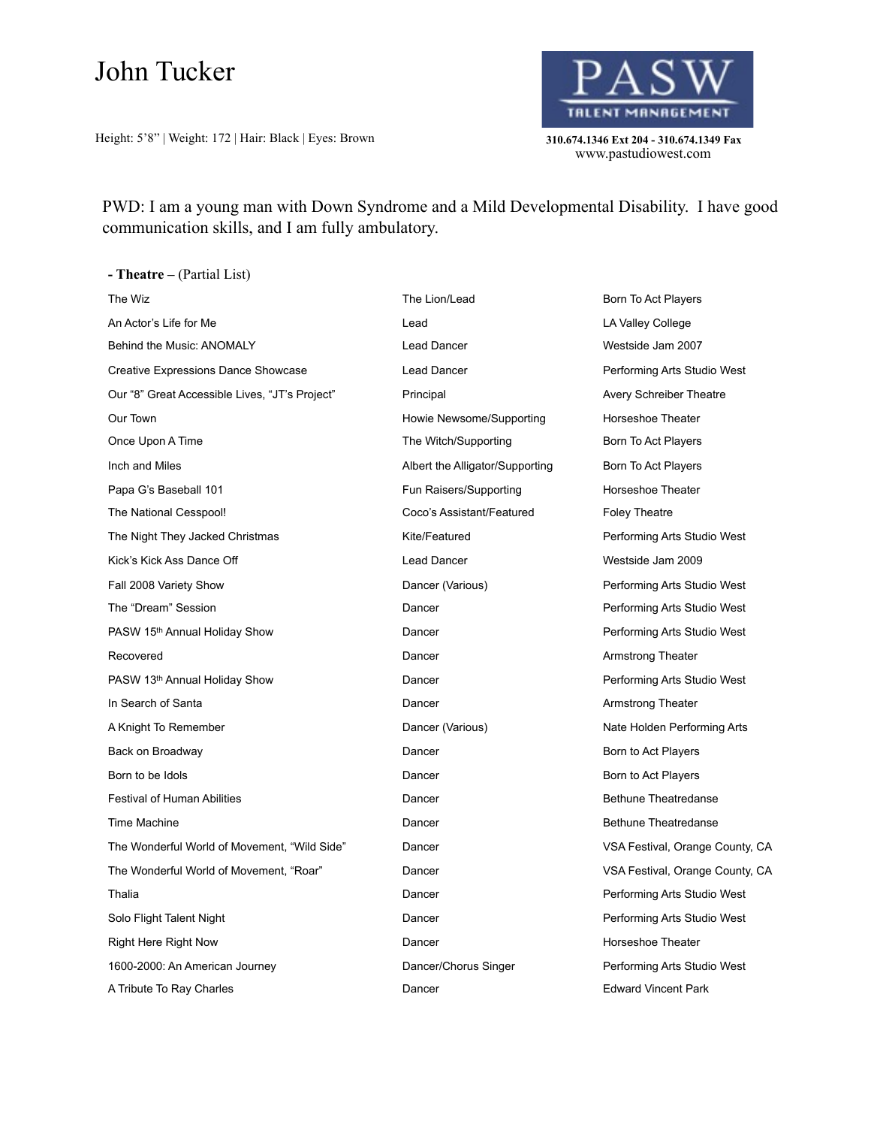## John Tucker

Height: 5'8" | Weight: 172 | Hair: Black | Eyes: Brown **310.674.1346 Ext 204 - 310.674.1349 Fax** 



www.pastudiowest.com

PWD: I am a young man with Down Syndrome and a Mild Developmental Disability. I have good communication skills, and I am fully ambulatory.

**- Theatre –** (Partial List) The Wiz **The Lion/Lead** Born To Act Players **The Lion/Lead** Born To Act Players An Actor's Life for Me **Lead** Lead **Lead** LA Valley College Behind the Music: ANOMALY **State of the Contract Contract Contract Contract Contract Contract Contract Contract Contract Contract Contract Contract Contract Contract Contract Contract Contract Contract Contract Contract Co** Creative Expressions Dance Showcase **Lead Dancer** Lead Dancer **Performing Arts Studio West** Our "8" Great Accessible Lives, "JT's Project" Principal Principal Avery Schreiber Theatre Our Town Howie Newsome/Supporting Horseshoe Theater Once Upon A Time The The Witch/Supporting The Witch/Supporting The Upon To Act Players Inch and Miles **Albert the Alligator/Supporting** Born To Act Players Born To Act Players Papa G's Baseball 101 **Fun Raisers/Supporting** Fund Horseshoe Theater The National Cesspool! Coco's Assistant/Featured Foley Theatre The Night They Jacked Christmas **Example 20 Featured** Performing Arts Studio West Kick's Kick Ass Dance Off Lead Dancer Westside Jam 2009 Fall 2008 Variety Show **Dancer (Various)** Dancer (Various) Performing Arts Studio West The "Dream" Session **Dancer** Dencer Performing Arts Studio West PASW 15<sup>th</sup> Annual Holiday Show **Dancer** Dancer **Performing Arts Studio West** Recovered **Recovered Recovered Recovered Recovered Recovered Recovered Recovered Recovered Recovered Recovered Recovered Recovered Recovered Reports Recovered Reports Recovered R** PASW 13<sup>th</sup> Annual Holiday Show **Dancer** Dancer **Performing Arts Studio West** In Search of Santa **Dancer Construction Construction Construction Construction Construction Construction Construction Construction Construction Construction Construction Construction Construction Construction Constructio** A Knight To Remember Dancer (Various) Nate Holden Performing Arts Back on Broadway **Dancer Dancer Born to Act Players Born to Act Players** Born to be Idols **Born to Act Players** Dancer **Born to Act Players** Born to Act Players Festival of Human Abilities **State Abilities** Dancer **Bethune Theatredanse** Bethune Theatredanse Time Machine **Dancer Dancer Bethune Theatredanse Bethune Theatredanse** The Wonderful World of Movement, "Wild Side" Dancer County, CA November 2012 1991 VSA Festival, Orange County, CA The Wonderful World of Movement, "Roar" **Dancer** Dancer VSA Festival, Orange County, CA Thalia **Dancer Community Community** Dancer **Community Dancer** Performing Arts Studio West Solo Flight Talent Night **Dancer** Dancer **Dancer Dancer** Performing Arts Studio West Right Here Right Now **Dancer** Dancer **Horseshoe Theater** Horseshoe Theater 1600-2000: An American Journey Dancer/Chorus Singer Performing Arts Studio West A Tribute To Ray Charles **No. 2018** 2018 2019 Dancer **Container Bark Container Park** Edward Vincent Park